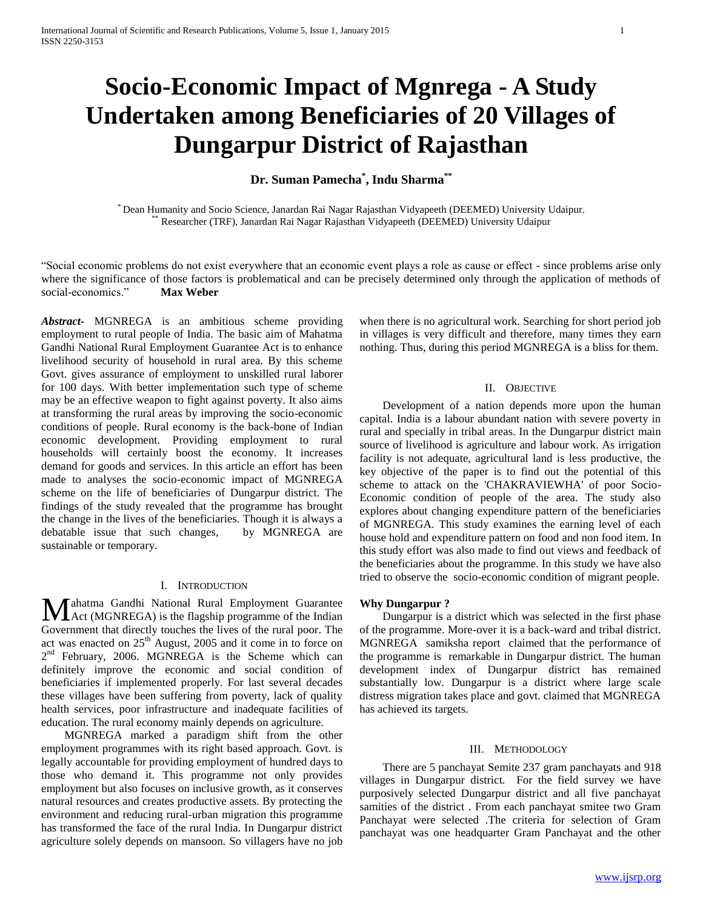# **Socio-Economic Impact of Mgnrega - A Study Undertaken among Beneficiaries of 20 Villages of Dungarpur District of Rajasthan**

# **Dr. Suman Pamecha\* , Indu Sharma\*\***

\* Dean Humanity and Socio Science, Janardan Rai Nagar Rajasthan Vidyapeeth (DEEMED) University Udaipur. \*\* Researcher (TRF), Janardan Rai Nagar Rajasthan Vidyapeeth (DEEMED) University Udaipur

"Social economic problems do not exist everywhere that an economic event plays a role as cause or effect - since problems arise only where the significance of those factors is problematical and can be precisely determined only through the application of methods of social-economics." **[Max Weber](http://www.brainyquote.com/quotes/authors/m/max_weber.html)**

*Abstract***-** MGNREGA is an ambitious scheme providing employment to rural people of India. The basic aim of Mahatma Gandhi National Rural Employment Guarantee Act is to enhance livelihood security of household in rural area. By this scheme Govt. gives assurance of employment to unskilled rural laborer for 100 days. With better implementation such type of scheme may be an effective weapon to fight against poverty. It also aims at transforming the rural areas by improving the socio-economic conditions of people. Rural economy is the back-bone of Indian economic development. Providing employment to rural households will certainly boost the economy. It increases demand for goods and services. In this article an effort has been made to analyses the socio-economic impact of MGNREGA scheme on the life of beneficiaries of Dungarpur district. The findings of the study revealed that the programme has brought the change in the lives of the beneficiaries. Though it is always a debatable issue that such changes, by MGNREGA are sustainable or temporary.

## I. INTRODUCTION

Mahatma Gandhi National Rural Employment Guarantee<br>
Act (MGNREGA) is the flagship programme of the Indian Act (MGNREGA) is the flagship programme of the Indian Government that directly touches the lives of the rural poor. The act was enacted on  $25<sup>th</sup>$  August, 2005 and it come in to force on  $2<sup>nd</sup>$  February, 2006. MGNREGA is the Scheme which can definitely improve the economic and social condition of beneficiaries if implemented properly. For last several decades these villages have been suffering from poverty, lack of quality health services, poor infrastructure and inadequate facilities of education. The rural economy mainly depends on agriculture.

 MGNREGA marked a paradigm shift from the other employment programmes with its right based approach. Govt. is legally accountable for providing employment of hundred days to those who demand it. This programme not only provides employment but also focuses on inclusive growth, as it conserves natural resources and creates productive assets. By protecting the environment and reducing rural-urban migration this programme has transformed the face of the rural India. In Dungarpur district agriculture solely depends on mansoon. So villagers have no job

when there is no agricultural work. Searching for short period job in villages is very difficult and therefore, many times they earn nothing. Thus, during this period MGNREGA is a bliss for them.

#### II. OBJECTIVE

 Development of a nation depends more upon the human capital. India is a labour abundant nation with severe poverty in rural and specially in tribal areas. In the Dungarpur district main source of livelihood is agriculture and labour work. As irrigation facility is not adequate, agricultural land is less productive, the key objective of the paper is to find out the potential of this scheme to attack on the 'CHAKRAVIEWHA' of poor Socio-Economic condition of people of the area. The study also explores about changing expenditure pattern of the beneficiaries of MGNREGA. This study examines the earning level of each house hold and expenditure pattern on food and non food item. In this study effort was also made to find out views and feedback of the beneficiaries about the programme. In this study we have also tried to observe the socio-economic condition of migrant people.

#### **Why Dungarpur ?**

 Dungarpur is a district which was selected in the first phase of the programme. More-over it is a back-ward and tribal district. MGNREGA samiksha report claimed that the performance of the programme is remarkable in Dungarpur district. The human development index of Dungarpur district has remained substantially low. Dungarpur is a district where large scale distress migration takes place and govt. claimed that MGNREGA has achieved its targets.

#### III. METHODOLOGY

 There are 5 panchayat Semite 237 gram panchayats and 918 villages in Dungarpur district. For the field survey we have purposively selected Dungarpur district and all five panchayat samities of the district . From each panchayat smitee two Gram Panchayat were selected .The criteria for selection of Gram panchayat was one headquarter Gram Panchayat and the other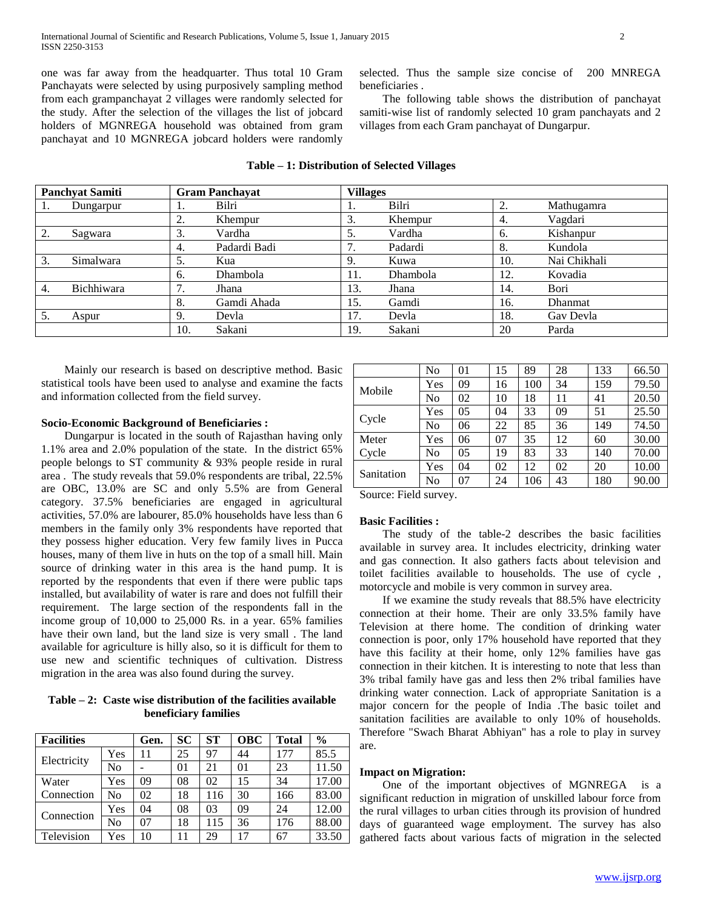one was far away from the headquarter. Thus total 10 Gram Panchayats were selected by using purposively sampling method from each grampanchayat 2 villages were randomly selected for the study. After the selection of the villages the list of jobcard holders of MGNREGA household was obtained from gram panchayat and 10 MGNREGA jobcard holders were randomly selected. Thus the sample size concise of 200 MNREGA beneficiaries .

 The following table shows the distribution of panchayat samiti-wise list of randomly selected 10 gram panchayats and 2 villages from each Gram panchayat of Dungarpur.

| <b>Panchyat Samiti</b> |            | <b>Gram Panchayat</b> |              | <b>Villages</b> |          |     |                |  |
|------------------------|------------|-----------------------|--------------|-----------------|----------|-----|----------------|--|
|                        | Dungarpur  |                       | Bilri        | .,              | Bilri    | 2.  | Mathugamra     |  |
|                        |            | ◠<br>۷.               | Khempur      | 3.              | Khempur  | 4.  | Vagdari        |  |
| $\mathcal{D}$<br>z.    | Sagwara    | 3.                    | Vardha       | 5.              | Vardha   | 6.  | Kishanpur      |  |
|                        |            | 4.                    | Padardi Badi | 7.              | Padardi  | 8.  | Kundola        |  |
| 3.                     | Simalwara  | 5.                    | Kua          | 9.              | Kuwa     | 10. | Nai Chikhali   |  |
|                        |            | 6.                    | Dhambola     | 11.             | Dhambola | 12. | Kovadia        |  |
| 4.                     | Bichhiwara | 7<br>$\prime$ .       | Jhana        | 13.             | Jhana    | 14. | Bori           |  |
|                        |            | 8.                    | Gamdi Ahada  | 15.             | Gamdi    | 16. | <b>Dhanmat</b> |  |
| 5.                     | Aspur      | 9.                    | Devla        | 17.             | Devla    | 18. | Gav Devla      |  |
|                        |            | 10.                   | Sakani       | 19.             | Sakani   | 20  | Parda          |  |

### **Table – 1: Distribution of Selected Villages**

 Mainly our research is based on descriptive method. Basic statistical tools have been used to analyse and examine the facts and information collected from the field survey.

#### **Socio-Economic Background of Beneficiaries :**

 Dungarpur is located in the south of Rajasthan having only 1.1% area and 2.0% population of the state. In the district 65% people belongs to ST community & 93% people reside in rural area . The study reveals that 59.0% respondents are tribal, 22.5% are OBC, 13.0% are SC and only 5.5% are from General category. 37.5% beneficiaries are engaged in agricultural activities, 57.0% are labourer, 85.0% households have less than 6 members in the family only 3% respondents have reported that they possess higher education. Very few family lives in Pucca houses, many of them live in huts on the top of a small hill. Main source of drinking water in this area is the hand pump. It is reported by the respondents that even if there were public taps installed, but availability of water is rare and does not fulfill their requirement. The large section of the respondents fall in the income group of 10,000 to 25,000 Rs. in a year. 65% families have their own land, but the land size is very small . The land available for agriculture is hilly also, so it is difficult for them to use new and scientific techniques of cultivation. Distress migration in the area was also found during the survey.

**Table – 2: Caste wise distribution of the facilities available beneficiary families**

| <b>Facilities</b> |     | Gen. | <b>SC</b> | <b>ST</b> | <b>OBC</b>     | <b>Total</b> | $\frac{6}{6}$ |
|-------------------|-----|------|-----------|-----------|----------------|--------------|---------------|
| Electricity       | Yes | 11   | 25        | 97        | 44             | 177          | 85.5          |
|                   | No  |      | 01        | 21        | 0 <sub>1</sub> | 23           | 11.50         |
| Water             | Yes | 09   | 08        | 02        | 15             | 34           | 17.00         |
| Connection        | No  | 02   | 18        | 116       | 30             | 166          | 83.00         |
| Connection        | Yes | 04   | 08        | 03        | 09             | 24           | 12.00         |
|                   | No  | 07   | 18        | 115       | 36             | 176          | 88.00         |
| Television        | Yes | 10   | 11        | 29        | 17             | 67           | 33.50         |

|            | No  | 0 <sub>1</sub> | 15 | 89  | 28 | 133 | 66.50 |
|------------|-----|----------------|----|-----|----|-----|-------|
| Mobile     | Yes | 09             | 16 | 100 | 34 | 159 | 79.50 |
|            | No  | 02             | 10 | 18  | 11 | 41  | 20.50 |
|            | Yes | 05             | 04 | 33  | 09 | 51  | 25.50 |
| Cycle      | No  | 06             | 22 | 85  | 36 | 149 | 74.50 |
| Meter      | Yes | 06             | 07 | 35  | 12 | 60  | 30.00 |
| Cycle      | No  | 05             | 19 | 83  | 33 | 140 | 70.00 |
| Sanitation | Yes | 04             | 02 | 12  | 02 | 20  | 10.00 |
|            | No  | 07             | 24 | 106 | 43 | 180 | 90.00 |

Source: Field survey.

#### **Basic Facilities :**

 The study of the table-2 describes the basic facilities available in survey area. It includes electricity, drinking water and gas connection. It also gathers facts about television and toilet facilities available to households. The use of cycle , motorcycle and mobile is very common in survey area.

 If we examine the study reveals that 88.5% have electricity connection at their home. Their are only 33.5% family have Television at there home. The condition of drinking water connection is poor, only 17% household have reported that they have this facility at their home, only 12% families have gas connection in their kitchen. It is interesting to note that less than 3% tribal family have gas and less then 2% tribal families have drinking water connection. Lack of appropriate Sanitation is a major concern for the people of India .The basic toilet and sanitation facilities are available to only 10% of households. Therefore "Swach Bharat Abhiyan" has a role to play in survey are.

#### **Impact on Migration:**

 One of the important objectives of MGNREGA is a significant reduction in migration of unskilled labour force from the rural villages to urban cities through its provision of hundred days of guaranteed wage employment. The survey has also gathered facts about various facts of migration in the selected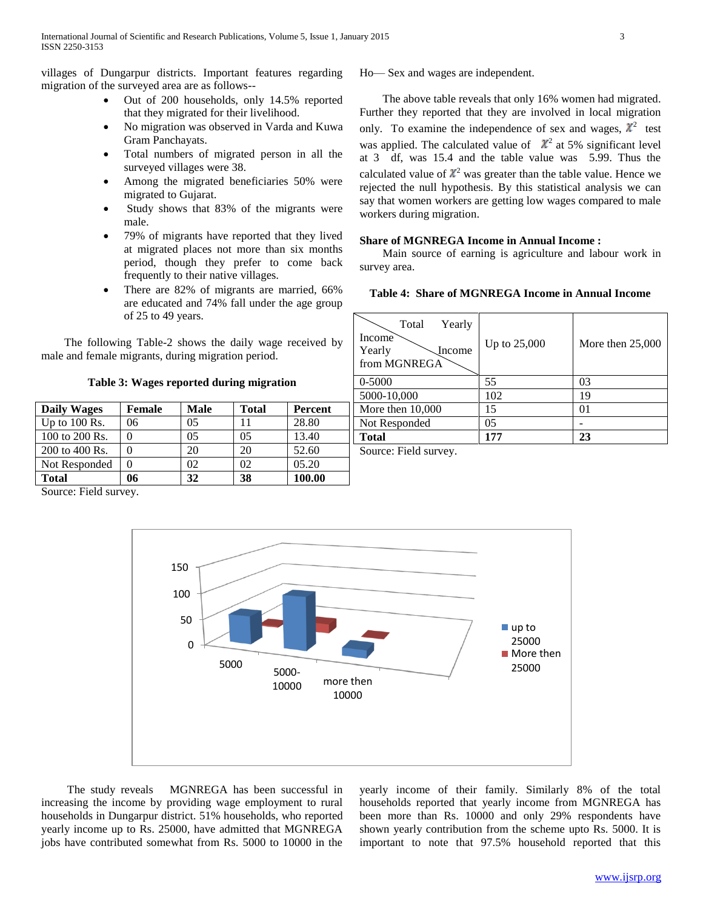villages of Dungarpur districts. Important features regarding migration of the surveyed area are as follows--

- Out of 200 households, only 14.5% reported that they migrated for their livelihood.
- No migration was observed in Varda and Kuwa Gram Panchayats.
- Total numbers of migrated person in all the surveyed villages were 38.
- Among the migrated beneficiaries 50% were migrated to Gujarat.
- Study shows that 83% of the migrants were male.
- 79% of migrants have reported that they lived at migrated places not more than six months period, though they prefer to come back frequently to their native villages.
- There are 82% of migrants are married, 66% are educated and 74% fall under the age group of 25 to 49 years.

 The following Table-2 shows the daily wage received by male and female migrants, during migration period.

**Table 3: Wages reported during migration**

| <b>Daily Wages</b> | Female | Male | <b>Total</b> | Percent |  |
|--------------------|--------|------|--------------|---------|--|
| Up to $100$ Rs.    | 06     | 05   |              | 28.80   |  |
| 100 to 200 Rs.     |        | 05   | 05           | 13.40   |  |
| 200 to 400 Rs.     |        | 20   | 20           | 52.60   |  |
| Not Responded      |        | 02   | 02           | 05.20   |  |
| <b>Total</b>       | 06     | 32   | 38           | 100.00  |  |

Source: Field survey.

Ho— Sex and wages are independent.

 The above table reveals that only 16% women had migrated. Further they reported that they are involved in local migration only. To examine the independence of sex and wages,  $\chi^2$  test was applied. The calculated value of  $\chi^2$  at 5% significant level at 3 df, was 15.4 and the table value was 5.99. Thus the calculated value of  $\mathcal{X}^2$  was greater than the table value. Hence we rejected the null hypothesis. By this statistical analysis we can say that women workers are getting low wages compared to male workers during migration.

### **Share of MGNREGA Income in Annual Income :**

 Main source of earning is agriculture and labour work in survey area.

| Total<br>Yearly<br>Income<br>Yearly<br>Income<br>from MGNREGA | Up to 25,000 | More then $25,000$ |
|---------------------------------------------------------------|--------------|--------------------|
| 0-5000                                                        | 55           | 03                 |
| 5000-10,000                                                   | 102          | 19                 |
| More then $10,000$                                            | 15           | 01                 |
| Not Responded                                                 | 05           |                    |
| <b>Total</b>                                                  | 177          | 23                 |

Source: Field survey.



 The study reveals MGNREGA has been successful in increasing the income by providing wage employment to rural households in Dungarpur district. 51% households, who reported yearly income up to Rs. 25000, have admitted that MGNREGA jobs have contributed somewhat from Rs. 5000 to 10000 in the

yearly income of their family. Similarly 8% of the total households reported that yearly income from MGNREGA has been more than Rs. 10000 and only 29% respondents have shown yearly contribution from the scheme upto Rs. 5000. It is important to note that 97.5% household reported that this